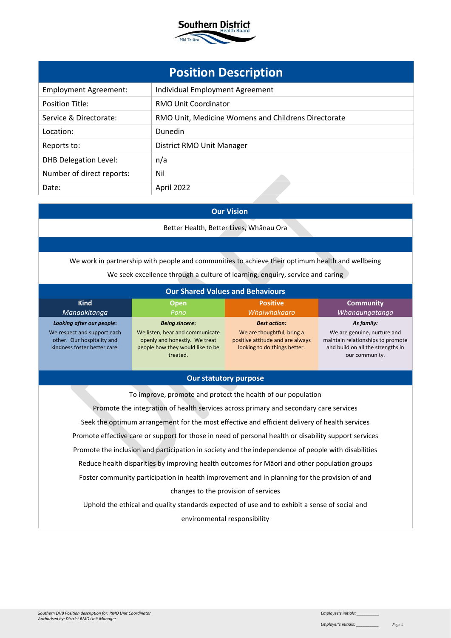

| <b>Position Description</b>  |                                                     |  |
|------------------------------|-----------------------------------------------------|--|
| <b>Employment Agreement:</b> | Individual Employment Agreement                     |  |
| <b>Position Title:</b>       | <b>RMO Unit Coordinator</b>                         |  |
| Service & Directorate:       | RMO Unit, Medicine Womens and Childrens Directorate |  |
| Location:                    | Dunedin                                             |  |
| Reports to:                  | District RMO Unit Manager                           |  |
| <b>DHB Delegation Level:</b> | n/a                                                 |  |
| Number of direct reports:    | Nil                                                 |  |
| Date:                        | April 2022                                          |  |

# **Our Vision**

Better Health, Better Lives, Whānau Ora

We work in partnership with people and communities to achieve their optimum health and wellbeing We seek excellence through a culture of learning, enquiry, service and caring

| <b>Our Shared Values and Behaviours</b>                                                   |                                                                                                                  |                                                                                                |                                                                                                                         |
|-------------------------------------------------------------------------------------------|------------------------------------------------------------------------------------------------------------------|------------------------------------------------------------------------------------------------|-------------------------------------------------------------------------------------------------------------------------|
| <b>Kind</b><br>Manaakitanga                                                               | <b>Open</b><br>Pono                                                                                              | <b>Positive</b><br>Whaiwhakaaro                                                                | <b>Community</b><br>Whanaungatanga                                                                                      |
| Looking after our people:                                                                 | <b>Being sincere:</b>                                                                                            | <b>Best action:</b>                                                                            | As family:                                                                                                              |
| We respect and support each<br>other. Our hospitality and<br>kindness foster better care. | We listen, hear and communicate<br>openly and honestly. We treat<br>people how they would like to be<br>treated. | We are thoughtful, bring a<br>positive attitude and are always<br>looking to do things better. | We are genuine, nurture and<br>maintain relationships to promote<br>and build on all the strengths in<br>our community. |

### **Our statutory purpose**

To improve, promote and protect the health of our population Promote the integration of health services across primary and secondary care services Seek the optimum arrangement for the most effective and efficient delivery of health services Promote effective care or support for those in need of personal health or disability support services Promote the inclusion and participation in society and the independence of people with disabilities Reduce health disparities by improving health outcomes for Māori and other population groups Foster community participation in health improvement and in planning for the provision of and changes to the provision of services

Uphold the ethical and quality standards expected of use and to exhibit a sense of social and environmental responsibility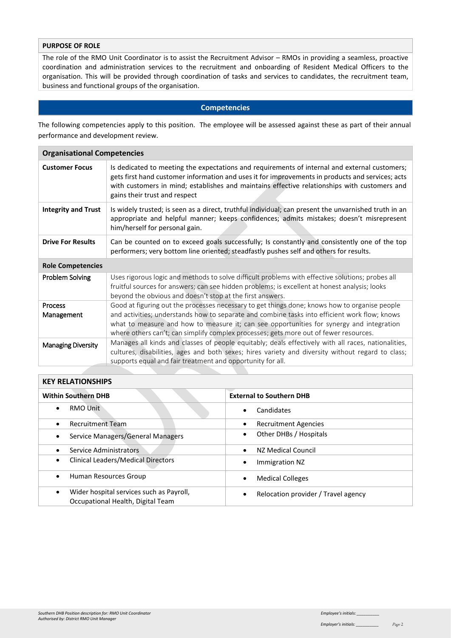# **PURPOSE OF ROLE**

The role of the RMO Unit Coordinator is to assist the Recruitment Advisor – RMOs in providing a seamless, proactive coordination and administration services to the recruitment and onboarding of Resident Medical Officers to the organisation. This will be provided through coordination of tasks and services to candidates, the recruitment team, business and functional groups of the organisation.

### **Competencies**

The following competencies apply to this position. The employee will be assessed against these as part of their annual performance and development review.

| <b>Organisational Competencies</b> |                                                                                                                                                                                                                                                                                                                                                                                     |
|------------------------------------|-------------------------------------------------------------------------------------------------------------------------------------------------------------------------------------------------------------------------------------------------------------------------------------------------------------------------------------------------------------------------------------|
| <b>Customer Focus</b>              | Is dedicated to meeting the expectations and requirements of internal and external customers;<br>gets first hand customer information and uses it for improvements in products and services; acts<br>with customers in mind; establishes and maintains effective relationships with customers and<br>gains their trust and respect                                                  |
| <b>Integrity and Trust</b>         | Is widely trusted; is seen as a direct, truthful individual; can present the unvarnished truth in an<br>appropriate and helpful manner; keeps confidences; admits mistakes; doesn't misrepresent<br>him/herself for personal gain.                                                                                                                                                  |
| <b>Drive For Results</b>           | Can be counted on to exceed goals successfully; Is constantly and consistently one of the top<br>performers; very bottom line oriented; steadfastly pushes self and others for results.                                                                                                                                                                                             |
| <b>Role Competencies</b>           |                                                                                                                                                                                                                                                                                                                                                                                     |
| Problem Solving                    | Uses rigorous logic and methods to solve difficult problems with effective solutions; probes all<br>fruitful sources for answers; can see hidden problems; is excellent at honest analysis; looks<br>beyond the obvious and doesn't stop at the first answers.                                                                                                                      |
| <b>Process</b><br>Management       | Good at figuring out the processes necessary to get things done; knows how to organise people<br>and activities; understands how to separate and combine tasks into efficient work flow; knows<br>what to measure and how to measure it; can see opportunities for synergy and integration<br>where others can't; can simplify complex processes; gets more out of fewer resources. |
| <b>Managing Diversity</b>          | Manages all kinds and classes of people equitably; deals effectively with all races, nationalities,<br>cultures, disabilities, ages and both sexes; hires variety and diversity without regard to class;<br>supports equal and fair treatment and opportunity for all.                                                                                                              |

#### **KEY RELATIONSHIPS**

| <b>Within Southern DHB</b>                                                                 | <b>External to Southern DHB</b>     |
|--------------------------------------------------------------------------------------------|-------------------------------------|
| RMO Unit                                                                                   | Candidates                          |
| <b>Recruitment Team</b>                                                                    | <b>Recruitment Agencies</b>         |
| Service Managers/General Managers                                                          | Other DHBs / Hospitals<br>٠         |
| Service Administrators                                                                     | NZ Medical Council<br>$\bullet$     |
| Clinical Leaders/Medical Directors                                                         | Immigration NZ                      |
| Human Resources Group<br>$\bullet$                                                         | <b>Medical Colleges</b>             |
| Wider hospital services such as Payroll,<br>$\bullet$<br>Occupational Health, Digital Team | Relocation provider / Travel agency |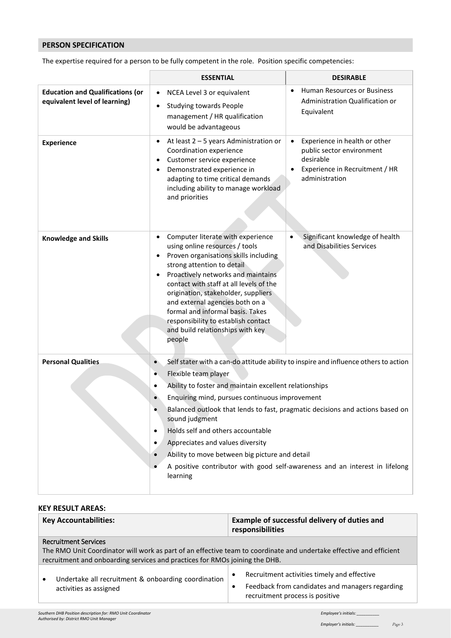## **PERSON SPECIFICATION**

The expertise required for a person to be fully competent in the role. Position specific competencies:

|                                                                          | <b>ESSENTIAL</b>                                                                                                                                                                                                                                                                                                                                                                                                               | <b>DESIRABLE</b>                                                                                                                         |
|--------------------------------------------------------------------------|--------------------------------------------------------------------------------------------------------------------------------------------------------------------------------------------------------------------------------------------------------------------------------------------------------------------------------------------------------------------------------------------------------------------------------|------------------------------------------------------------------------------------------------------------------------------------------|
| <b>Education and Qualifications (or</b><br>equivalent level of learning) | NCEA Level 3 or equivalent<br><b>Studying towards People</b><br>management / HR qualification<br>would be advantageous                                                                                                                                                                                                                                                                                                         | Human Resources or Business<br>$\bullet$<br>Administration Qualification or<br>Equivalent                                                |
| <b>Experience</b>                                                        | At least 2 - 5 years Administration or<br>$\bullet$<br>Coordination experience<br>Customer service experience<br>Demonstrated experience in<br>adapting to time critical demands<br>including ability to manage workload<br>and priorities                                                                                                                                                                                     | Experience in health or other<br>$\bullet$<br>public sector environment<br>desirable<br>Experience in Recruitment / HR<br>administration |
| <b>Knowledge and Skills</b>                                              | Computer literate with experience<br>using online resources / tools<br>Proven organisations skills including<br>strong attention to detail<br>Proactively networks and maintains<br>contact with staff at all levels of the<br>origination, stakeholder, suppliers<br>and external agencies both on a<br>formal and informal basis. Takes<br>responsibility to establish contact<br>and build relationships with key<br>people | Significant knowledge of health<br>$\bullet$<br>and Disabilities Services                                                                |
| <b>Personal Qualities</b>                                                | Self stater with a can-do attitude ability to inspire and influence others to action<br>$\bullet$<br>Flexible team player<br>Ability to foster and maintain excellent relationships<br>c                                                                                                                                                                                                                                       |                                                                                                                                          |
|                                                                          |                                                                                                                                                                                                                                                                                                                                                                                                                                |                                                                                                                                          |
|                                                                          | Enquiring mind, pursues continuous improvement<br>Balanced outlook that lends to fast, pragmatic decisions and actions based on                                                                                                                                                                                                                                                                                                |                                                                                                                                          |
|                                                                          | sound judgment<br>Holds self and others accountable<br>$\bullet$                                                                                                                                                                                                                                                                                                                                                               |                                                                                                                                          |
|                                                                          |                                                                                                                                                                                                                                                                                                                                                                                                                                |                                                                                                                                          |
|                                                                          | Appreciates and values diversity                                                                                                                                                                                                                                                                                                                                                                                               |                                                                                                                                          |
|                                                                          | Ability to move between big picture and detail<br>$\bullet$                                                                                                                                                                                                                                                                                                                                                                    |                                                                                                                                          |
|                                                                          | learning                                                                                                                                                                                                                                                                                                                                                                                                                       | A positive contributor with good self-awareness and an interest in lifelong                                                              |

#### **KEY RESULT AREAS:**

| <b>Key Accountabilities:</b>                                                                                                                                                                                                      | Example of successful delivery of duties and<br>responsibilities                                                                                            |
|-----------------------------------------------------------------------------------------------------------------------------------------------------------------------------------------------------------------------------------|-------------------------------------------------------------------------------------------------------------------------------------------------------------|
| <b>Recruitment Services</b><br>The RMO Unit Coordinator will work as part of an effective team to coordinate and undertake effective and efficient<br>recruitment and onboarding services and practices for RMOs joining the DHB. |                                                                                                                                                             |
| Undertake all recruitment & onboarding coordination<br>$\bullet$<br>activities as assigned                                                                                                                                        | Recruitment activities timely and effective<br>$\bullet$<br>Feedback from candidates and managers regarding<br>$\bullet$<br>recruitment process is positive |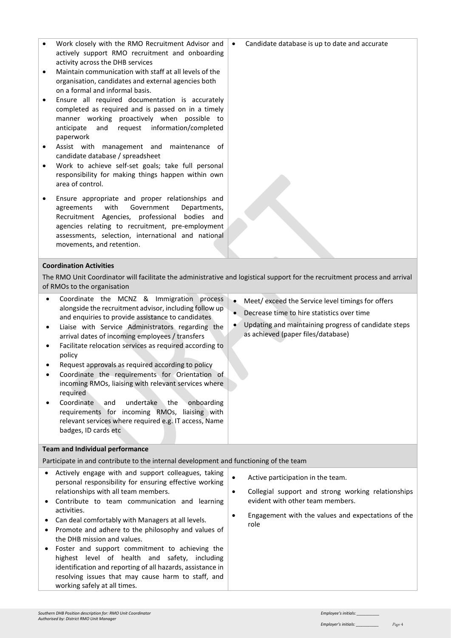| activity across the DHB services<br>Maintain communication with staff at all levels of the<br>$\bullet$<br>organisation, candidates and external agencies both<br>on a formal and informal basis.<br>Ensure all required documentation is accurately<br>$\bullet$<br>completed as required and is passed on in a timely<br>manner working proactively when possible to<br>and<br>request<br>information/completed<br>anticipate<br>paperwork<br>Assist with management and maintenance of<br>$\bullet$<br>candidate database / spreadsheet<br>Work to achieve self-set goals; take full personal<br>$\bullet$<br>responsibility for making things happen within own<br>area of control.<br>Ensure appropriate and proper relationships and<br>$\bullet$<br>with<br>Government<br>agreements<br>Departments,<br>Recruitment Agencies, professional<br>bodies and<br>agencies relating to recruitment, pre-employment<br>assessments, selection, international and national<br>movements, and retention. |                                                                                                                                                                                                                                     |
|--------------------------------------------------------------------------------------------------------------------------------------------------------------------------------------------------------------------------------------------------------------------------------------------------------------------------------------------------------------------------------------------------------------------------------------------------------------------------------------------------------------------------------------------------------------------------------------------------------------------------------------------------------------------------------------------------------------------------------------------------------------------------------------------------------------------------------------------------------------------------------------------------------------------------------------------------------------------------------------------------------|-------------------------------------------------------------------------------------------------------------------------------------------------------------------------------------------------------------------------------------|
|                                                                                                                                                                                                                                                                                                                                                                                                                                                                                                                                                                                                                                                                                                                                                                                                                                                                                                                                                                                                        |                                                                                                                                                                                                                                     |
| <b>Coordination Activities</b><br>The RMO Unit Coordinator will facilitate the administrative and logistical support for the recruitment process and arrival<br>of RMOs to the organisation                                                                                                                                                                                                                                                                                                                                                                                                                                                                                                                                                                                                                                                                                                                                                                                                            |                                                                                                                                                                                                                                     |
| Coordinate the MCNZ & Immigration process<br>alongside the recruitment advisor, including follow up<br>and enquiries to provide assistance to candidates<br>Liaise with Service Administrators regarding the<br>٠<br>arrival dates of incoming employees / transfers<br>Facilitate relocation services as required according to<br>٠<br>policy<br>Request approvals as required according to policy<br>Coordinate the requirements for Orientation of<br>incoming RMOs, liaising with relevant services where<br>required<br>Coordinate<br>undertake<br>the<br>onboarding<br>and<br>requirements for incoming RMOs, liaising with<br>relevant services where required e.g. IT access, Name<br>badges, ID cards etc                                                                                                                                                                                                                                                                                     | Meet/exceed the Service level timings for offers<br>$\bullet$<br>$\bullet$<br>Decrease time to hire statistics over time<br>Updating and maintaining progress of candidate steps<br>$\bullet$<br>as achieved (paper files/database) |
| <b>Team and Individual performance</b>                                                                                                                                                                                                                                                                                                                                                                                                                                                                                                                                                                                                                                                                                                                                                                                                                                                                                                                                                                 |                                                                                                                                                                                                                                     |
| Participate in and contribute to the internal development and functioning of the team                                                                                                                                                                                                                                                                                                                                                                                                                                                                                                                                                                                                                                                                                                                                                                                                                                                                                                                  |                                                                                                                                                                                                                                     |
| Actively engage with and support colleagues, taking<br>personal responsibility for ensuring effective working<br>relationships with all team members.<br>Contribute to team communication and learning<br>activities.<br>Can deal comfortably with Managers at all levels.<br>Promote and adhere to the philosophy and values of<br>٠<br>the DHB mission and values.<br>Foster and support commitment to achieving the<br>highest level of health and safety, including<br>identification and reporting of all hazards, assistance in<br>resolving issues that may cause harm to staff, and<br>working safely at all times.                                                                                                                                                                                                                                                                                                                                                                            | $\bullet$<br>Active participation in the team.<br>Collegial support and strong working relationships<br>$\bullet$<br>evident with other team members.<br>Engagement with the values and expectations of the<br>$\bullet$<br>role    |

• Work closely with the RMO Recruitment Advisor and  $\cdot$ actively support RMO recruitment and onboarding

Candidate database is up to date and accurate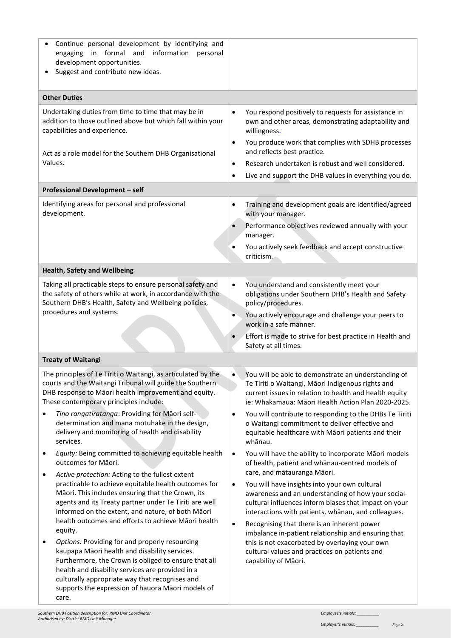| Continue personal development by identifying and<br>information personal<br>in formal and<br>engaging<br>development opportunities.<br>Suggest and contribute new ideas.                                                                                                                                                                                                                                                                |                                                                                                                                                                                                                                                                                                                                                                                                                                                                                                             |
|-----------------------------------------------------------------------------------------------------------------------------------------------------------------------------------------------------------------------------------------------------------------------------------------------------------------------------------------------------------------------------------------------------------------------------------------|-------------------------------------------------------------------------------------------------------------------------------------------------------------------------------------------------------------------------------------------------------------------------------------------------------------------------------------------------------------------------------------------------------------------------------------------------------------------------------------------------------------|
| <b>Other Duties</b>                                                                                                                                                                                                                                                                                                                                                                                                                     |                                                                                                                                                                                                                                                                                                                                                                                                                                                                                                             |
| Undertaking duties from time to time that may be in<br>addition to those outlined above but which fall within your<br>capabilities and experience.<br>Act as a role model for the Southern DHB Organisational<br>Values.                                                                                                                                                                                                                | You respond positively to requests for assistance in<br>$\bullet$<br>own and other areas, demonstrating adaptability and<br>willingness.<br>You produce work that complies with SDHB processes<br>$\bullet$<br>and reflects best practice.<br>Research undertaken is robust and well considered.<br>$\bullet$<br>Live and support the DHB values in everything you do.<br>$\bullet$                                                                                                                         |
| Professional Development - self                                                                                                                                                                                                                                                                                                                                                                                                         |                                                                                                                                                                                                                                                                                                                                                                                                                                                                                                             |
| Identifying areas for personal and professional<br>development.                                                                                                                                                                                                                                                                                                                                                                         | Training and development goals are identified/agreed<br>٠<br>with your manager.<br>Performance objectives reviewed annually with your<br>manager.<br>You actively seek feedback and accept constructive<br>$\bullet$<br>criticism.                                                                                                                                                                                                                                                                          |
| <b>Health, Safety and Wellbeing</b>                                                                                                                                                                                                                                                                                                                                                                                                     |                                                                                                                                                                                                                                                                                                                                                                                                                                                                                                             |
| Taking all practicable steps to ensure personal safety and<br>the safety of others while at work, in accordance with the<br>Southern DHB's Health, Safety and Wellbeing policies,<br>procedures and systems.                                                                                                                                                                                                                            | You understand and consistently meet your<br>$\bullet$<br>obligations under Southern DHB's Health and Safety<br>policy/procedures.<br>You actively encourage and challenge your peers to<br>$\bullet$<br>work in a safe manner.<br>Effort is made to strive for best practice in Health and<br>$\bullet$<br>Safety at all times.                                                                                                                                                                            |
| <b>Treaty of Waitangi</b>                                                                                                                                                                                                                                                                                                                                                                                                               |                                                                                                                                                                                                                                                                                                                                                                                                                                                                                                             |
| The principles of Te Tiriti o Waitangi, as articulated by the<br>courts and the Waitangi Tribunal will guide the Southern<br>DHB response to Maori health improvement and equity.<br>These contemporary principles include:                                                                                                                                                                                                             | You will be able to demonstrate an understanding of<br>Te Tiriti o Waitangi, Māori Indigenous rights and<br>current issues in relation to health and health equity<br>ie: Whakamaua: Māori Health Action Plan 2020-2025.                                                                                                                                                                                                                                                                                    |
| Tino rangatiratanga: Providing for Māori self-<br>determination and mana motuhake in the design,<br>delivery and monitoring of health and disability<br>services.                                                                                                                                                                                                                                                                       | You will contribute to responding to the DHBs Te Tiriti<br>$\bullet$<br>o Waitangi commitment to deliver effective and<br>equitable healthcare with Māori patients and their<br>whānau.                                                                                                                                                                                                                                                                                                                     |
| Equity: Being committed to achieving equitable health<br>٠<br>outcomes for Māori.<br>Active protection: Acting to the fullest extent<br>٠<br>practicable to achieve equitable health outcomes for<br>Māori. This includes ensuring that the Crown, its<br>agents and its Treaty partner under Te Tiriti are well<br>informed on the extent, and nature, of both Māori<br>health outcomes and efforts to achieve Māori health<br>equity. | You will have the ability to incorporate Māori models<br>$\bullet$<br>of health, patient and whanau-centred models of<br>care, and mātauranga Māori.<br>You will have insights into your own cultural<br>$\bullet$<br>awareness and an understanding of how your social-<br>cultural influences inform biases that impact on your<br>interactions with patients, whanau, and colleagues.<br>Recognising that there is an inherent power<br>$\bullet$<br>imbalance in-patient relationship and ensuring that |
| Options: Providing for and properly resourcing<br>kaupapa Māori health and disability services.<br>Furthermore, the Crown is obliged to ensure that all<br>health and disability services are provided in a<br>culturally appropriate way that recognises and<br>supports the expression of hauora Māori models of<br>care.                                                                                                             | this is not exacerbated by overlaying your own<br>cultural values and practices on patients and<br>capability of Māori.                                                                                                                                                                                                                                                                                                                                                                                     |